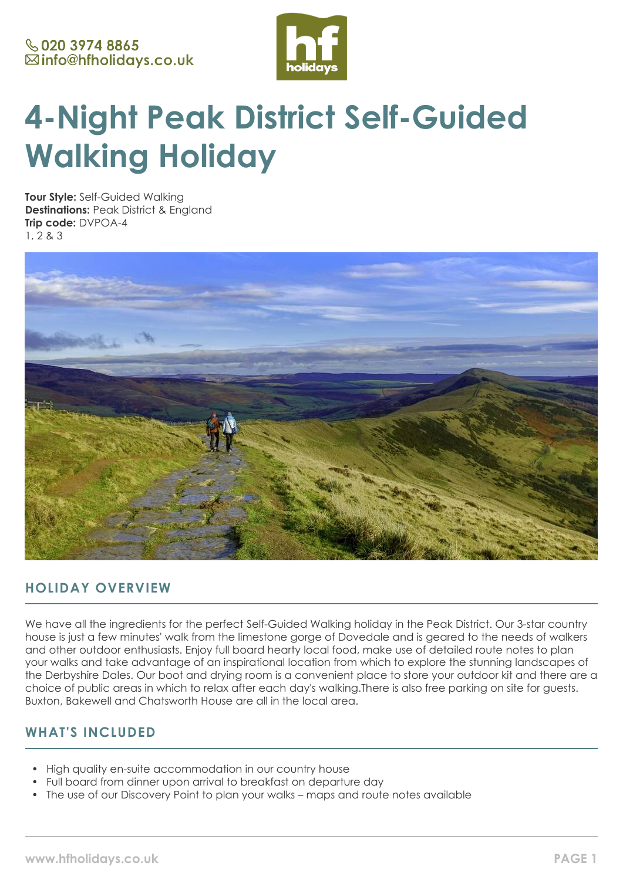

# **4-Night Peak District Self-Guided Walking Holiday**

**Tour Style:** Self-Guided Walking **Destinations:** Peak District & England **Trip code:** DVPOA-4 1, 2 & 3



# **HOLIDAY OVERVIEW**

We have all the ingredients for the perfect Self-Guided Walking holiday in the Peak District. Our 3-star country house is just a few minutes' walk from the limestone gorge of Dovedale and is geared to the needs of walkers and other outdoor enthusiasts. Enjoy full board hearty local food, make use of detailed route notes to plan your walks and take advantage of an inspirational location from which to explore the stunning landscapes of the Derbyshire Dales. Our boot and drying room is a convenient place to store your outdoor kit and there are a choice of public areas in which to relax after each day's walking.There is also free parking on site for guests. Buxton, Bakewell and Chatsworth House are all in the local area.

## **WHAT'S INCLUDED**

- High quality en-suite accommodation in our country house
- Full board from dinner upon arrival to breakfast on departure day
- The use of our Discovery Point to plan your walks maps and route notes available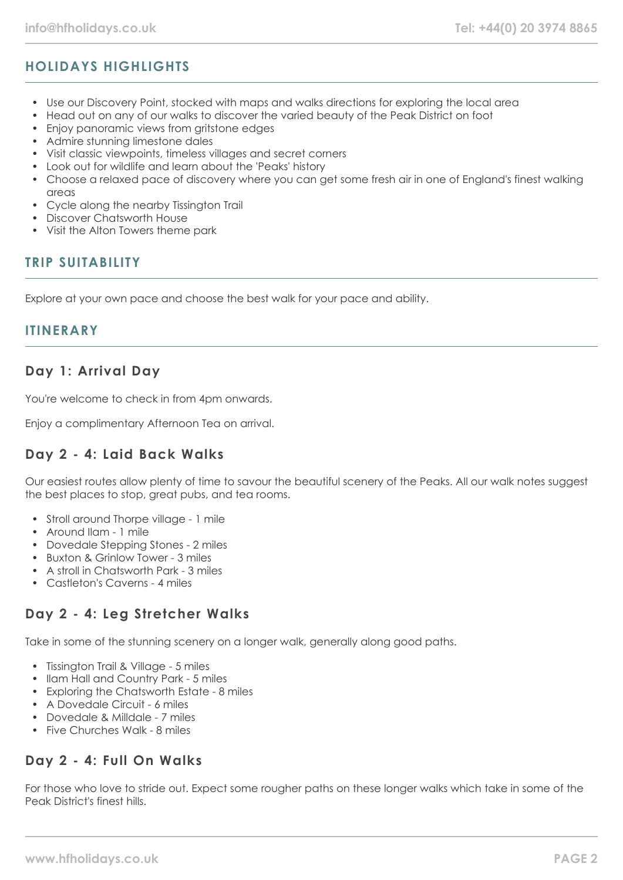# **HOLIDAYS HIGHLIGHTS**

- Use our Discovery Point, stocked with maps and walks directions for exploring the local area
- Head out on any of our walks to discover the varied beauty of the Peak District on foot
- Enjoy panoramic views from gritstone edges
- Admire stunning limestone dales
- Visit classic viewpoints, timeless villages and secret corners
- Look out for wildlife and learn about the 'Peaks' history
- Choose a relaxed pace of discovery where you can get some fresh air in one of England's finest walking  $C^{\text{max}}$
- Cycle along the nearby Tissington Trail
- Discover Chatsworth House
- Visit the Alton Towers theme park

## **TRIP SUITABILITY**

Explore at your own pace and choose the best walk for your pace and ability.

#### **ITINERARY**

## **Day 1: Arrival Day**

You're welcome to check in from 4pm onwards.

Enjoy a complimentary Afternoon Tea on arrival.

#### **Day 2 - 4: Laid Back Walks**

Our easiest routes allow plenty of time to savour the beautiful scenery of the Peaks. All our walk notes suggest the best places to stop, great pubs, and tea rooms.

- Stroll around Thorpe village 1 mile
- Around Ilam 1 mile
- Dovedale Stepping Stones 2 miles
- Buxton & Grinlow Tower 3 miles
- A stroll in Chatsworth Park 3 miles
- Castleton's Caverns 4 miles

# **Day 2 - 4: Leg Stretcher Walks**

Take in some of the stunning scenery on a longer walk, generally along good paths.

- Tissington Trail & Village 5 miles
- Ilam Hall and Country Park 5 miles
- Exploring the Chatsworth Estate 8 miles
- A Dovedale Circuit 6 miles
- Dovedale & Milldale 7 miles
- Five Churches Walk 8 miles

## **Day 2 - 4: Full On Walks**

For those who love to stride out. Expect some rougher paths on these longer walks which take in some of the Peak District's finest hills.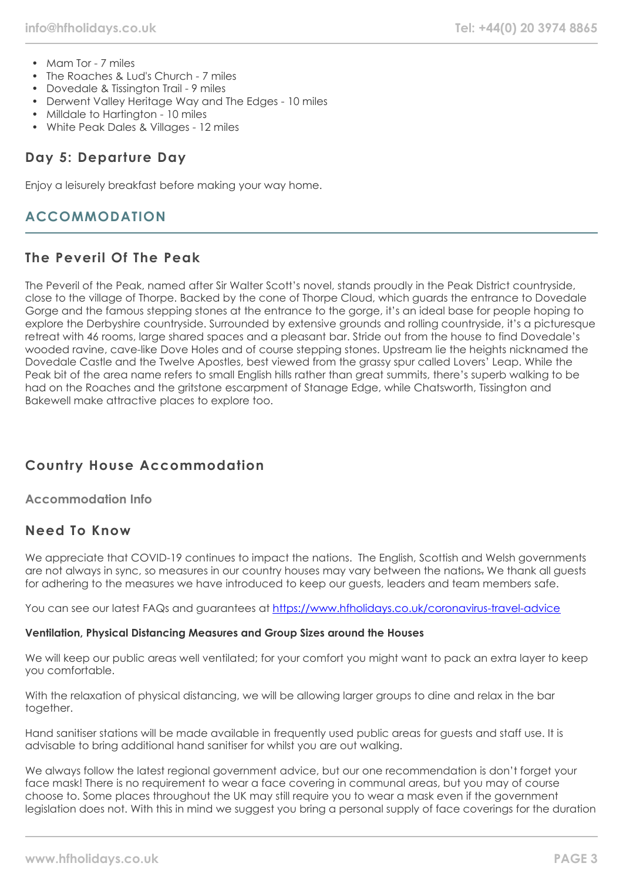- Mam Tor 7 miles
- The Roaches & Lud's Church 7 miles
- Dovedale & Tissington Trail 9 miles
- Derwent Valley Heritage Way and The Edges 10 miles
- Milldale to Hartington 10 miles
- White Peak Dales & Villages 12 miles

## **Day 5: Departure Day**

Enjoy a leisurely breakfast before making your way home.

## **ACCOMMODATION**

#### **The Peveril Of The Peak**

The Peveril of the Peak, named after Sir Walter Scott's novel, stands proudly in the Peak District countryside, close to the village of Thorpe. Backed by the cone of Thorpe Cloud, which guards the entrance to Dovedale Gorge and the famous stepping stones at the entrance to the gorge, it's an ideal base for people hoping to explore the Derbyshire countryside. Surrounded by extensive grounds and rolling countryside, it's a picturesque retreat with 46 rooms, large shared spaces and a pleasant bar. Stride out from the house to find Dovedale's wooded ravine, cave-like Dove Holes and of course stepping stones. Upstream lie the heights nicknamed the Dovedale Castle and the Twelve Apostles, best viewed from the grassy spur called Lovers' Leap. While the Peak bit of the area name refers to small English hills rather than great summits, there's superb walking to be had on the Roaches and the gritstone escarpment of Stanage Edge, while Chatsworth, Tissington and Bakewell make attractive places to explore too.

# **Country House Accommodation**

**Accommodation Info**

## **Need To Know**

We appreciate that COVID-19 continues to impact the nations. The English, Scottish and Welsh governments are not always in sync, so measures in our country houses may vary between the nations. We thank all guests for adhering to the measures we have introduced to keep our guests, leaders and team members safe.

You can see our latest FAQs and guarantees at <https://www.hfholidays.co.uk/coronavirus-travel-advice>

#### **Ventilation, Physical Distancing Measures and Group Sizes around the Houses**

We will keep our public areas well ventilated; for your comfort you might want to pack an extra layer to keep you comfortable.

With the relaxation of physical distancing, we will be allowing larger groups to dine and relax in the bar together.

Hand sanitiser stations will be made available in frequently used public areas for guests and staff use. It is advisable to bring additional hand sanitiser for whilst you are out walking.

We always follow the latest regional government advice, but our one recommendation is don't forget your face mask! There is no requirement to wear a face covering in communal areas, but you may of course choose to. Some places throughout the UK may still require you to wear a mask even if the government legislation does not. With this in mind we suggest you bring a personal supply of face coverings for the duration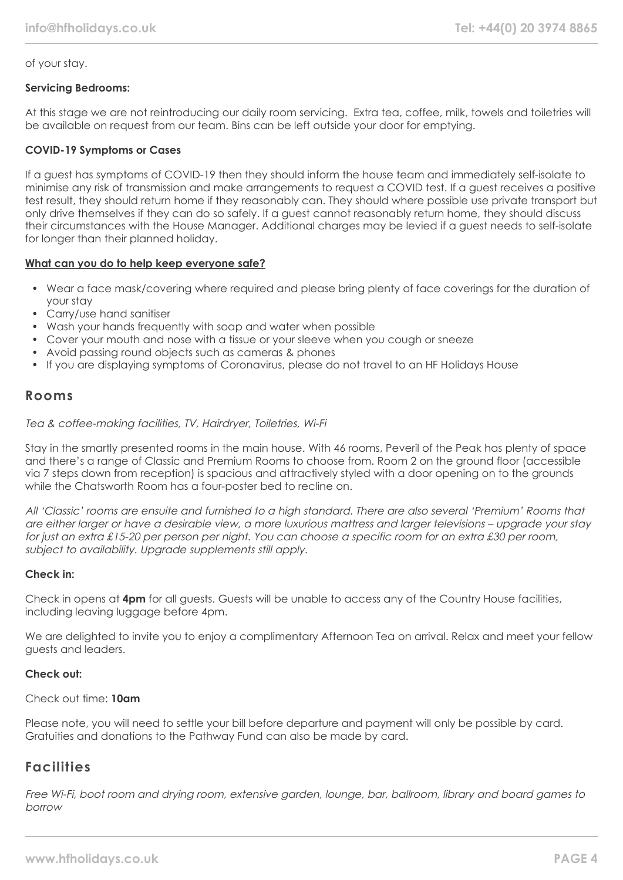#### of your stay.

#### **Servicing Bedrooms:**

At this stage we are not reintroducing our daily room servicing. Extra tea, coffee, milk, towels and toiletries will be available on request from our team. Bins can be left outside your door for emptying.

#### **COVID-19 Symptoms or Cases**

If a guest has symptoms of COVID-19 then they should inform the house team and immediately self-isolate to minimise any risk of transmission and make arrangements to request a COVID test. If a guest receives a positive test result, they should return home if they reasonably can. They should where possible use private transport but only drive themselves if they can do so safely. If a guest cannot reasonably return home, they should discuss their circumstances with the House Manager. Additional charges may be levied if a guest needs to self-isolate for longer than their planned holiday.

#### **What can you do to help keep everyone safe?**

- Wear a face mask/covering where required and please bring plenty of face coverings for the duration of your stay
- Carry/use hand sanitiser
- Wash your hands frequently with soap and water when possible
- Cover your mouth and nose with a tissue or your sleeve when you cough or sneeze
- Avoid passing round objects such as cameras & phones
- If you are displaying symptoms of Coronavirus, please do not travel to an HF Holidays House

#### **Rooms**

#### Tea & coffee-making facilities, TV, Hairdryer, Toiletries, Wi-Fi

Stay in the smartly presented rooms in the main house. With 46 rooms, Peveril of the Peak has plenty of space and there's a range of Classic and Premium Rooms to choose from. Room 2 on the ground floor (accessible via 7 steps down from reception) is spacious and attractively styled with a door opening on to the grounds while the Chatsworth Room has a four-poster bed to recline on.

All 'Classic' rooms are ensuite and furnished to a high standard. There are also several 'Premium' Rooms that are either larger or have a desirable view, a more luxurious mattress and larger televisions – upgrade your stay for just an extra £15-20 per person per night. You can choose a specific room for an extra £30 per room, subject to availability. Upgrade supplements still apply.

#### **Check in:**

Check in opens at **4pm** for all guests. Guests will be unable to access any of the Country House facilities, including leaving luggage before 4pm.

We are delighted to invite you to enjoy a complimentary Afternoon Tea on arrival. Relax and meet your fellow guests and leaders.

#### **Check out:**

Check out time: **10am**

Please note, you will need to settle your bill before departure and payment will only be possible by card. Gratuities and donations to the Pathway Fund can also be made by card.

#### **Facilities**

Free Wi-Fi, boot room and drying room, extensive garden, lounge, bar, ballroom, library and board games to borrow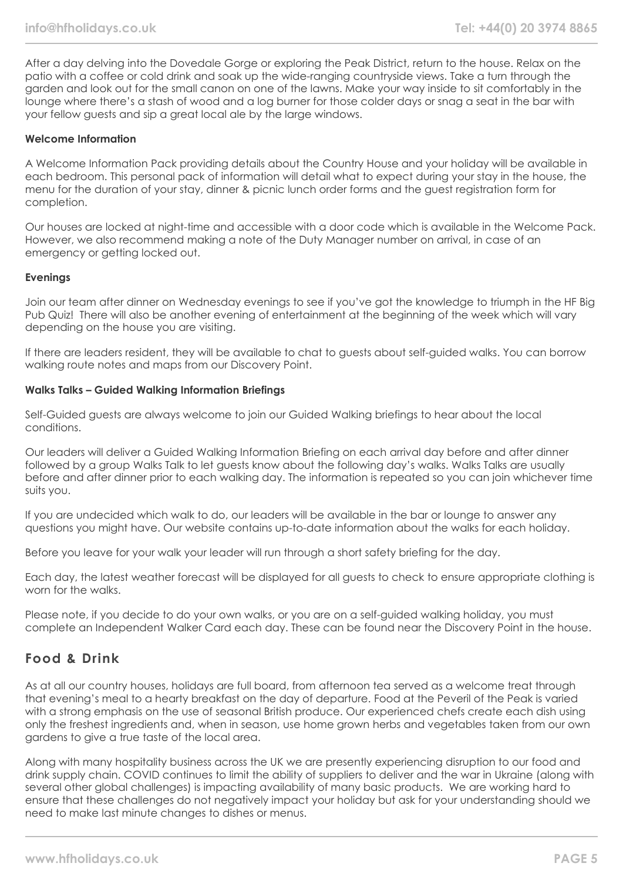After a day delving into the Dovedale Gorge or exploring the Peak District, return to the house. Relax on the patio with a coffee or cold drink and soak up the wide-ranging countryside views. Take a turn through the garden and look out for the small canon on one of the lawns. Make your way inside to sit comfortably in the lounge where there's a stash of wood and a log burner for those colder days or snag a seat in the bar with your fellow guests and sip a great local ale by the large windows.

#### **Welcome Information**

A Welcome Information Pack providing details about the Country House and your holiday will be available in each bedroom. This personal pack of information will detail what to expect during your stay in the house, the menu for the duration of your stay, dinner & picnic lunch order forms and the guest registration form for completion.

Our houses are locked at night-time and accessible with a door code which is available in the Welcome Pack. However, we also recommend making a note of the Duty Manager number on arrival, in case of an emergency or getting locked out.

#### **Evenings**

Join our team after dinner on Wednesday evenings to see if you've got the knowledge to triumph in the HF Big Pub Quiz! There will also be another evening of entertainment at the beginning of the week which will vary depending on the house you are visiting.

If there are leaders resident, they will be available to chat to guests about self-guided walks. You can borrow walking route notes and maps from our Discovery Point.

#### **Walks Talks – Guided Walking Information Briefings**

Self-Guided guests are always welcome to join our Guided Walking briefings to hear about the local conditions.

Our leaders will deliver a Guided Walking Information Briefing on each arrival day before and after dinner followed by a group Walks Talk to let guests know about the following day's walks. Walks Talks are usually before and after dinner prior to each walking day. The information is repeated so you can join whichever time suits you.

If you are undecided which walk to do, our leaders will be available in the bar or lounge to answer any questions you might have. Our website contains up-to-date information about the walks for each holiday.

Before you leave for your walk your leader will run through a short safety briefing for the day.

Each day, the latest weather forecast will be displayed for all guests to check to ensure appropriate clothing is worn for the walks.

Please note, if you decide to do your own walks, or you are on a self-guided walking holiday, you must complete an Independent Walker Card each day. These can be found near the Discovery Point in the house.

## **Food & Drink**

As at all our country houses, holidays are full board, from afternoon tea served as a welcome treat through that evening's meal to a hearty breakfast on the day of departure. Food at the Peveril of the Peak is varied with a strong emphasis on the use of seasonal British produce. Our experienced chefs create each dish using only the freshest ingredients and, when in season, use home grown herbs and vegetables taken from our own gardens to give a true taste of the local area.

Along with many hospitality business across the UK we are presently experiencing disruption to our food and drink supply chain. COVID continues to limit the ability of suppliers to deliver and the war in Ukraine (along with several other global challenges) is impacting availability of many basic products. We are working hard to ensure that these challenges do not negatively impact your holiday but ask for your understanding should we need to make last minute changes to dishes or menus.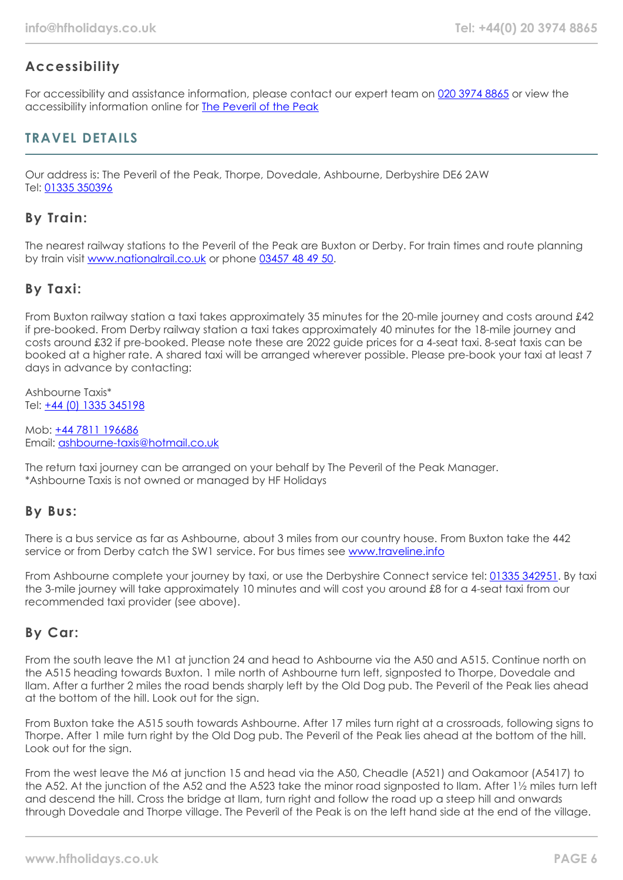# **Accessibility**

For accessibility and assistance information, please contact our expert team on [020 3974 8865](tel:02039748865) or view the accessibility information online for **[The Peveril of the Peak](https://www.hfholidays.co.uk/images/Documents/accessibility_statements/peveril-of-the-peak---accessibility-information---update-mar-2021.pdf)** 

## **TRAVEL DETAILS**

Our address is: The Peveril of the Peak, Thorpe, Dovedale, Ashbourne, Derbyshire DE6 2AW Tel: [01335 350396](tel:01335350396)

## **By Train:**

The nearest railway stations to the Peveril of the Peak are Buxton or Derby. For train times and route planning by train visit [www.nationalrail.co.uk](https://www.nationalrail.co.uk/) or phone [03457 48 49 50.](tel:03457484950)

## **By Taxi:**

From Buxton railway station a taxi takes approximately 35 minutes for the 20-mile journey and costs around £42 if pre-booked. From Derby railway station a taxi takes approximately 40 minutes for the 18-mile journey and costs around £32 if pre-booked. Please note these are 2022 guide prices for a 4-seat taxi. 8-seat taxis can be booked at a higher rate. A shared taxi will be arranged wherever possible. Please pre-book your taxi at least 7 days in advance by contacting:

Ashbourne Taxis\* Tel: [+44 \(0\) 1335 345198](tel:01335345198)

Mob: [+44 7811 196686](tel:01335345198) Email: [ashbourne-taxis@hotmail.co.uk](mailto:ashbourne-taxis@hotmail.co.uk)

The return taxi journey can be arranged on your behalf by The Peveril of the Peak Manager. \*Ashbourne Taxis is not owned or managed by HF Holidays

#### **By Bus:**

There is a bus service as far as Ashbourne, about 3 miles from our country house. From Buxton take the 442 service or from Derby catch the SW1 service. For bus times see [www.traveline.info](https://www.traveline.info/)

From Ashbourne complete your journey by taxi, or use the Derbyshire Connect service tel: [01335 342951](tel:01335342951). By taxi the 3-mile journey will take approximately 10 minutes and will cost you around £8 for a 4-seat taxi from our recommended taxi provider (see above).

## **By Car:**

From the south leave the M1 at junction 24 and head to Ashbourne via the A50 and A515. Continue north on the A515 heading towards Buxton. 1 mile north of Ashbourne turn left, signposted to Thorpe, Dovedale and Ilam. After a further 2 miles the road bends sharply left by the Old Dog pub. The Peveril of the Peak lies ahead at the bottom of the hill. Look out for the sign.

From Buxton take the A515 south towards Ashbourne. After 17 miles turn right at a crossroads, following signs to Thorpe. After 1 mile turn right by the Old Dog pub. The Peveril of the Peak lies ahead at the bottom of the hill. Look out for the sign.

From the west leave the M6 at junction 15 and head via the A50, Cheadle (A521) and Oakamoor (A5417) to the A52. At the junction of the A52 and the A523 take the minor road signposted to Ilam. After 1½ miles turn left and descend the hill. Cross the bridge at Ilam, turn right and follow the road up a steep hill and onwards through Dovedale and Thorpe village. The Peveril of the Peak is on the left hand side at the end of the village.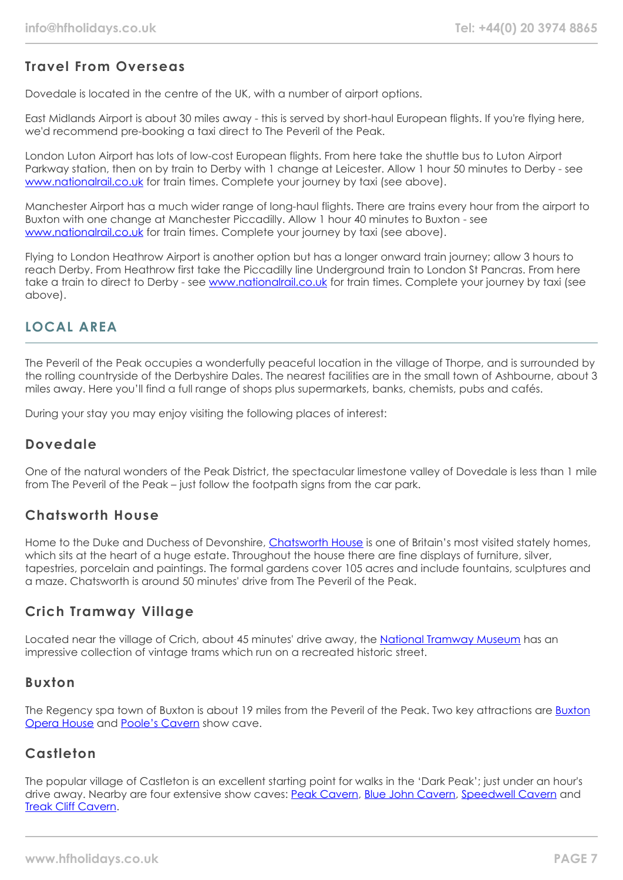## **Travel From Overseas**

Dovedale is located in the centre of the UK, with a number of airport options.

East Midlands Airport is about 30 miles away - this is served by short-haul European flights. If you're flying here, we'd recommend pre-booking a taxi direct to The Peveril of the Peak.

London Luton Airport has lots of low-cost European flights. From here take the shuttle bus to Luton Airport Parkway station, then on by train to Derby with 1 change at Leicester. Allow 1 hour 50 minutes to Derby - see [www.nationalrail.co.uk](https://www.nationalrail.co.uk/) for train times. Complete your journey by taxi (see above).

Manchester Airport has a much wider range of long-haul flights. There are trains every hour from the airport to Buxton with one change at Manchester Piccadilly. Allow 1 hour 40 minutes to Buxton - see [www.nationalrail.co.uk](https://www.nationalrail.co.uk/) for train times. Complete your journey by taxi (see above).

Flying to London Heathrow Airport is another option but has a longer onward train journey; allow 3 hours to reach Derby. From Heathrow first take the Piccadilly line Underground train to London St Pancras. From here take a train to direct to Derby - see [www.nationalrail.co.uk](https://www.nationalrail.co.uk/) for train times. Complete your journey by taxi (see above).

# **LOCAL AREA**

The Peveril of the Peak occupies a wonderfully peaceful location in the village of Thorpe, and is surrounded by the rolling countryside of the Derbyshire Dales. The nearest facilities are in the small town of Ashbourne, about 3 miles away. Here you'll find a full range of shops plus supermarkets, banks, chemists, pubs and cafés.

During your stay you may enjoy visiting the following places of interest:

## **Dovedale**

One of the natural wonders of the Peak District, the spectacular limestone valley of Dovedale is less than 1 mile from The Peveril of the Peak – just follow the footpath signs from the car park.

## **Chatsworth House**

Home to the Duke and Duchess of Devonshire, [Chatsworth House](https://www.chatsworth.org/) is one of Britain's most visited stately homes, which sits at the heart of a huge estate. Throughout the house there are fine displays of furniture, silver, tapestries, porcelain and paintings. The formal gardens cover 105 acres and include fountains, sculptures and a maze. Chatsworth is around 50 minutes' drive from The Peveril of the Peak.

## **Crich Tramway Village**

Located near the village of Crich, about 45 minutes' drive away, the [National Tramway Museum](https://www.tramway.co.uk/) has an impressive collection of vintage trams which run on a recreated historic street.

#### **Buxton**

The Regency spa town of Buxton is about 19 miles from the Peveril of the Peak. Two key attractions are [Buxton](https://buxtonoperahouse.org.uk/) [Opera House](https://buxtonoperahouse.org.uk/) and [Poole's Cavern](https://poolescavern.co.uk/) show cave.

## **Castleton**

The popular village of Castleton is an excellent starting point for walks in the 'Dark Peak'; just under an hour's drive away. Nearby are four extensive show caves: [Peak Cavern,](https://peakcavern.co.uk/) [Blue John Cavern,](https://www.bluejohn-cavern.co.uk/) [Speedwell Cavern](https://speedwellcavern.co.uk/) and [Treak Cliff Cavern](https://bluejohnstone.com/).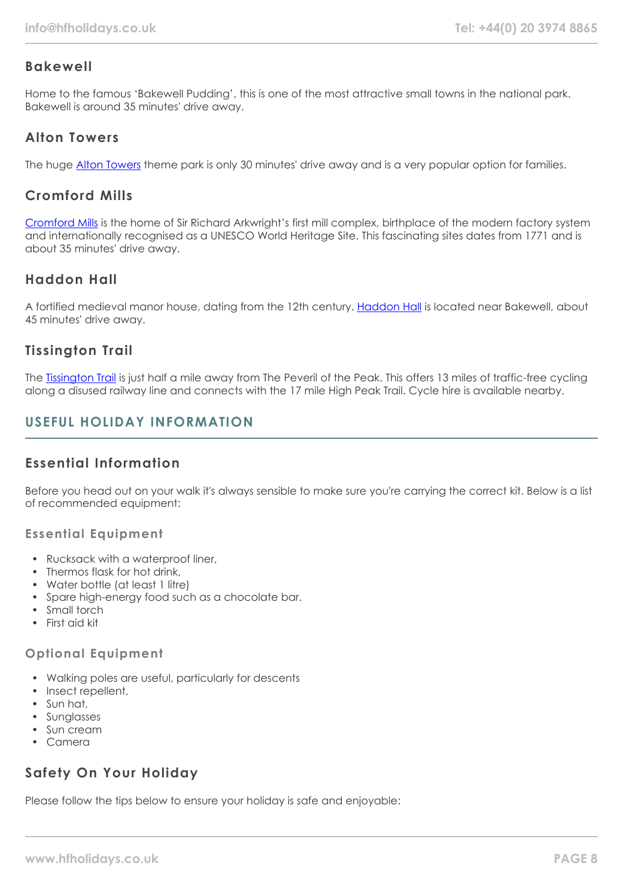## **Bakewell**

Home to the famous 'Bakewell Pudding', this is one of the most attractive small towns in the national park. Bakewell is around 35 minutes' drive away.

## **Alton Towers**

The huge [Alton Towers](https://www.altontowers.com/) theme park is only 30 minutes' drive away and is a very popular option for families.

# **Cromford Mills**

[Cromford Mills](https://www.cromfordmills.org.uk/) is the home of Sir Richard Arkwright's first mill complex, birthplace of the modern factory system and internationally recognised as a UNESCO World Heritage Site. This fascinating sites dates from 1771 and is about 35 minutes' drive away.

# **Haddon Hall**

A fortified medieval manor house, dating from the 12th century. [Haddon Hall](https://www.haddonhall.co.uk/) is located near Bakewell, about 45 minutes' drive away.

# **Tissington Trail**

The [Tissington Trail](https://www.peakdistrict.gov.uk/visiting/places-to-visit/trails/tissington-trail) is just half a mile away from The Peveril of the Peak. This offers 13 miles of traffic-free cycling along a disused railway line and connects with the 17 mile High Peak Trail. Cycle hire is available nearby.

# **USEFUL HOLIDAY INFORMATION**

# **Essential Information**

Before you head out on your walk it's always sensible to make sure you're carrying the correct kit. Below is a list of recommended equipment:

#### **Essential Equipment**

- Rucksack with a waterproof liner,
- Thermos flask for hot drink,
- Water bottle (at least 1 litre)
- Spare high-energy food such as a chocolate bar.
- Small torch
- First aid kit

#### **Optional Equipment**

- Walking poles are useful, particularly for descents
- Insect repellent,
- Sun hat,
- Sunglasses
- Sun cream
- Camera

# **Safety On Your Holiday**

Please follow the tips below to ensure your holiday is safe and enjoyable: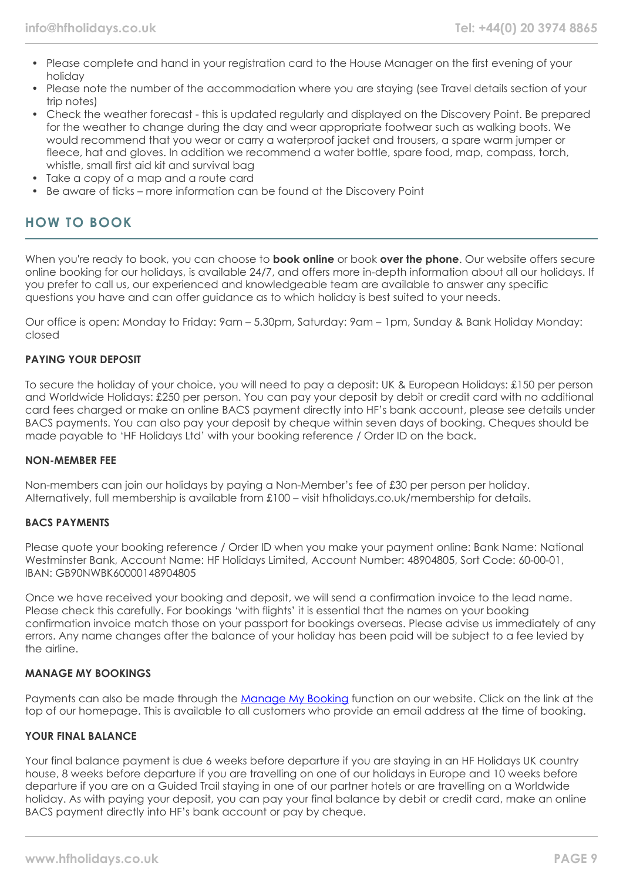- Please complete and hand in your registration card to the House Manager on the first evening of your holiday
- Please note the number of the accommodation where you are staying (see Travel details section of your trip notes)
- Check the weather forecast this is updated regularly and displayed on the Discovery Point. Be prepared for the weather to change during the day and wear appropriate footwear such as walking boots. We would recommend that you wear or carry a waterproof jacket and trousers, a spare warm jumper or fleece, hat and gloves. In addition we recommend a water bottle, spare food, map, compass, torch, whistle, small first aid kit and survival bag
- Take a copy of a map and a route card
- Be aware of ticks more information can be found at the Discovery Point

## **HOW TO BOOK**

When you're ready to book, you can choose to **book online** or book **over the phone**. Our website offers secure online booking for our holidays, is available 24/7, and offers more in-depth information about all our holidays. If you prefer to call us, our experienced and knowledgeable team are available to answer any specific questions you have and can offer guidance as to which holiday is best suited to your needs.

Our office is open: Monday to Friday: 9am – 5.30pm, Saturday: 9am – 1pm, Sunday & Bank Holiday Monday: closed

#### **PAYING YOUR DEPOSIT**

To secure the holiday of your choice, you will need to pay a deposit: UK & European Holidays: £150 per person and Worldwide Holidays: £250 per person. You can pay your deposit by debit or credit card with no additional card fees charged or make an online BACS payment directly into HF's bank account, please see details under BACS payments. You can also pay your deposit by cheque within seven days of booking. Cheques should be made payable to 'HF Holidays Ltd' with your booking reference / Order ID on the back.

#### **NON-MEMBER FEE**

Non-members can join our holidays by paying a Non-Member's fee of £30 per person per holiday. Alternatively, full membership is available from £100 – visit hfholidays.co.uk/membership for details.

#### **BACS PAYMENTS**

Please quote your booking reference / Order ID when you make your payment online: Bank Name: National Westminster Bank, Account Name: HF Holidays Limited, Account Number: 48904805, Sort Code: 60-00-01, IBAN: GB90NWBK60000148904805

Once we have received your booking and deposit, we will send a confirmation invoice to the lead name. Please check this carefully. For bookings 'with flights' it is essential that the names on your booking confirmation invoice match those on your passport for bookings overseas. Please advise us immediately of any errors. Any name changes after the balance of your holiday has been paid will be subject to a fee levied by the airline.

#### **MANAGE MY BOOKINGS**

Payments can also be made through the [Manage My Booking](https://www.hfholidays.co.uk/about-us/bookings/my-booking) function on our website. Click on the link at the top of our homepage. This is available to all customers who provide an email address at the time of booking.

#### **YOUR FINAL BALANCE**

Your final balance payment is due 6 weeks before departure if you are staying in an HF Holidays UK country house, 8 weeks before departure if you are travelling on one of our holidays in Europe and 10 weeks before departure if you are on a Guided Trail staying in one of our partner hotels or are travelling on a Worldwide holiday. As with paying your deposit, you can pay your final balance by debit or credit card, make an online BACS payment directly into HF's bank account or pay by cheque.